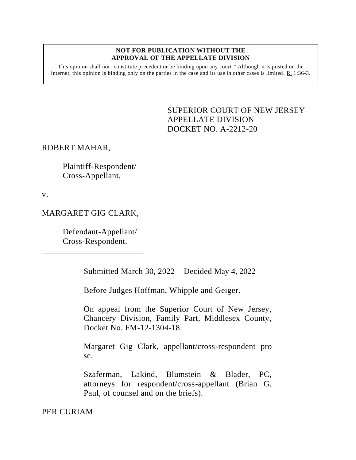#### **NOT FOR PUBLICATION WITHOUT THE APPROVAL OF THE APPELLATE DIVISION**

This opinion shall not "constitute precedent or be binding upon any court." Although it is posted on the internet, this opinion is binding only on the parties in the case and its use in other cases is limited. R. 1:36-3.

# <span id="page-0-0"></span>SUPERIOR COURT OF NEW JERSEY APPELLATE DIVISION DOCKET NO. A-2212-20

#### ROBERT MAHAR,

Plaintiff-Respondent/ Cross-Appellant,

v.

## MARGARET GIG CLARK,

\_\_\_\_\_\_\_\_\_\_\_\_\_\_\_\_\_\_\_\_\_\_\_\_

Defendant-Appellant/ Cross-Respondent.

Submitted March 30, 2022 – Decided May 4, 2022

Before Judges Hoffman, Whipple and Geiger.

On appeal from the Superior Court of New Jersey, Chancery Division, Family Part, Middlesex County, Docket No. FM-12-1304-18.

Margaret Gig Clark, appellant/cross-respondent pro se.

Szaferman, Lakind, Blumstein & Blader, PC, attorneys for respondent/cross-appellant (Brian G. Paul, of counsel and on the briefs).

PER CURIAM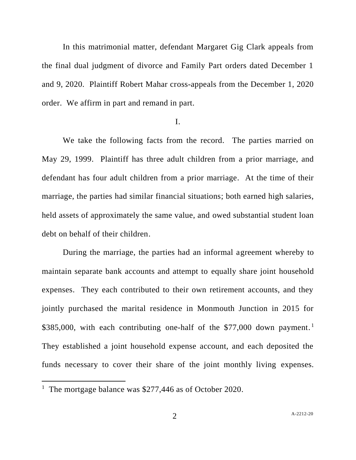In this matrimonial matter, defendant Margaret Gig Clark appeals from the final dual judgment of divorce and Family Part orders dated December 1 and 9, 2020. Plaintiff Robert Mahar cross-appeals from the December 1, 2020 order. We affirm in part and remand in part.

#### I.

We take the following facts from the record. The parties married on May 29, 1999. Plaintiff has three adult children from a prior marriage, and defendant has four adult children from a prior marriage. At the time of their marriage, the parties had similar financial situations; both earned high salaries, held assets of approximately the same value, and owed substantial student loan debt on behalf of their children.

During the marriage, the parties had an informal agreement whereby to maintain separate bank accounts and attempt to equally share joint household expenses. They each contributed to their own retirement accounts, and they jointly purchased the marital residence in Monmouth Junction in 2015 for  $$385,000$ , with each contributing one-half of the \$77,000 down payment.<sup>1</sup> They established a joint household expense account, and each deposited the funds necessary to cover their share of the joint monthly living expenses.

<sup>&</sup>lt;sup>1</sup> The mortgage balance was \$277,446 as of October 2020.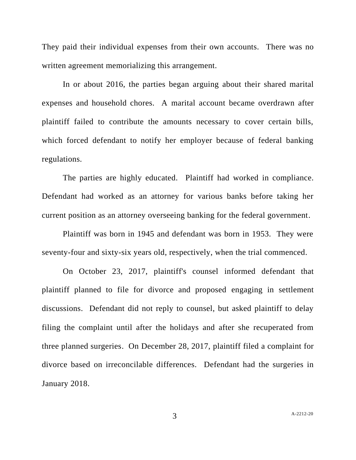They paid their individual expenses from their own accounts. There was no written agreement memorializing this arrangement.

In or about 2016, the parties began arguing about their shared marital expenses and household chores. A marital account became overdrawn after plaintiff failed to contribute the amounts necessary to cover certain bills, which forced defendant to notify her employer because of federal banking regulations.

The parties are highly educated. Plaintiff had worked in compliance. Defendant had worked as an attorney for various banks before taking her current position as an attorney overseeing banking for the federal government.

Plaintiff was born in 1945 and defendant was born in 1953. They were seventy-four and sixty-six years old, respectively, when the trial commenced.

On October 23, 2017, plaintiff's counsel informed defendant that plaintiff planned to file for divorce and proposed engaging in settlement discussions. Defendant did not reply to counsel, but asked plaintiff to delay filing the complaint until after the holidays and after she recuperated from three planned surgeries. On December 28, 2017, plaintiff filed a complaint for divorce based on irreconcilable differences. Defendant had the surgeries in January 2018.

3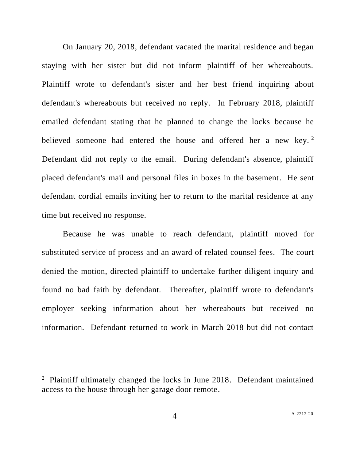On January 20, 2018, defendant vacated the marital residence and began staying with her sister but did not inform plaintiff of her whereabouts. Plaintiff wrote to defendant's sister and her best friend inquiring about defendant's whereabouts but received no reply. In February 2018, plaintiff emailed defendant stating that he planned to change the locks because he believed someone had entered the house and offered her a new key.<sup>2</sup> Defendant did not reply to the email. During defendant's absence, plaintiff placed defendant's mail and personal files in boxes in the basement. He sent defendant cordial emails inviting her to return to the marital residence at any time but received no response.

Because he was unable to reach defendant, plaintiff moved for substituted service of process and an award of related counsel fees. The court denied the motion, directed plaintiff to undertake further diligent inquiry and found no bad faith by defendant. Thereafter, plaintiff wrote to defendant's employer seeking information about her whereabouts but received no information. Defendant returned to work in March 2018 but did not contact

<sup>&</sup>lt;sup>2</sup> Plaintiff ultimately changed the locks in June 2018. Defendant maintained access to the house through her garage door remote.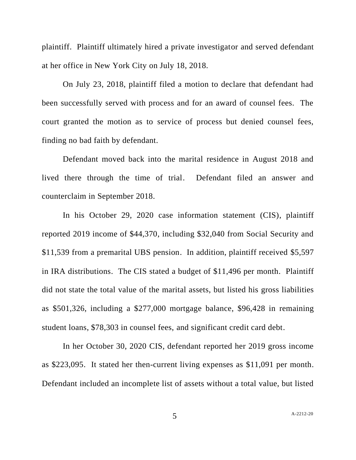plaintiff. Plaintiff ultimately hired a private investigator and served defendant at her office in New York City on July 18, 2018.

On July 23, 2018, plaintiff filed a motion to declare that defendant had been successfully served with process and for an award of counsel fees. The court granted the motion as to service of process but denied counsel fees, finding no bad faith by defendant.

Defendant moved back into the marital residence in August 2018 and lived there through the time of trial. Defendant filed an answer and counterclaim in September 2018.

In his October 29, 2020 case information statement (CIS), plaintiff reported 2019 income of \$44,370, including \$32,040 from Social Security and \$11,539 from a premarital UBS pension. In addition, plaintiff received \$5,597 in IRA distributions. The CIS stated a budget of \$11,496 per month. Plaintiff did not state the total value of the marital assets, but listed his gross liabilities as \$501,326, including a \$277,000 mortgage balance, \$96,428 in remaining student loans, \$78,303 in counsel fees, and significant credit card debt.

In her October 30, 2020 CIS, defendant reported her 2019 gross income as \$223,095. It stated her then-current living expenses as \$11,091 per month. Defendant included an incomplete list of assets without a total value, but listed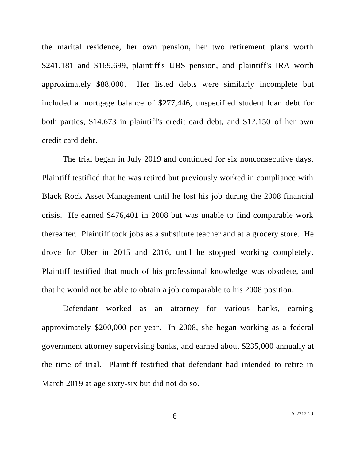the marital residence, her own pension, her two retirement plans worth \$241,181 and \$169,699, plaintiff's UBS pension, and plaintiff's IRA worth approximately \$88,000. Her listed debts were similarly incomplete but included a mortgage balance of \$277,446, unspecified student loan debt for both parties, \$14,673 in plaintiff's credit card debt, and \$12,150 of her own credit card debt.

The trial began in July 2019 and continued for six nonconsecutive days. Plaintiff testified that he was retired but previously worked in compliance with Black Rock Asset Management until he lost his job during the 2008 financial crisis. He earned \$476,401 in 2008 but was unable to find comparable work thereafter. Plaintiff took jobs as a substitute teacher and at a grocery store. He drove for Uber in 2015 and 2016, until he stopped working completely. Plaintiff testified that much of his professional knowledge was obsolete, and that he would not be able to obtain a job comparable to his 2008 position.

Defendant worked as an attorney for various banks, earning approximately \$200,000 per year. In 2008, she began working as a federal government attorney supervising banks, and earned about \$235,000 annually at the time of trial. Plaintiff testified that defendant had intended to retire in March 2019 at age sixty-six but did not do so.

6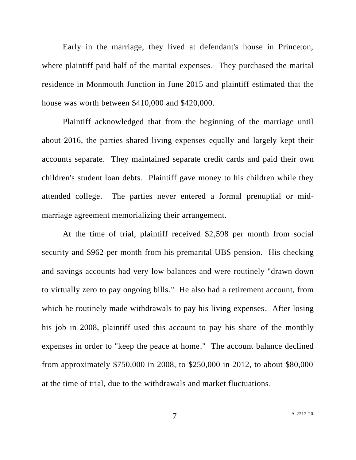Early in the marriage, they lived at defendant's house in Princeton, where plaintiff paid half of the marital expenses. They purchased the marital residence in Monmouth Junction in June 2015 and plaintiff estimated that the house was worth between \$410,000 and \$420,000.

Plaintiff acknowledged that from the beginning of the marriage until about 2016, the parties shared living expenses equally and largely kept their accounts separate. They maintained separate credit cards and paid their own children's student loan debts. Plaintiff gave money to his children while they attended college. The parties never entered a formal prenuptial or midmarriage agreement memorializing their arrangement.

At the time of trial, plaintiff received \$2,598 per month from social security and \$962 per month from his premarital UBS pension. His checking and savings accounts had very low balances and were routinely "drawn down to virtually zero to pay ongoing bills." He also had a retirement account, from which he routinely made withdrawals to pay his living expenses. After losing his job in 2008, plaintiff used this account to pay his share of the monthly expenses in order to "keep the peace at home." The account balance declined from approximately \$750,000 in 2008, to \$250,000 in 2012, to about \$80,000 at the time of trial, due to the withdrawals and market fluctuations.

7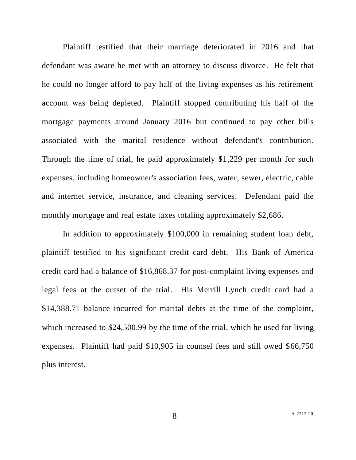Plaintiff testified that their marriage deteriorated in 2016 and that defendant was aware he met with an attorney to discuss divorce. He felt that he could no longer afford to pay half of the living expenses as his retirement account was being depleted. Plaintiff stopped contributing his half of the mortgage payments around January 2016 but continued to pay other bills associated with the marital residence without defendant's contribution. Through the time of trial, he paid approximately \$1,229 per month for such expenses, including homeowner's association fees, water, sewer, electric, cable and internet service, insurance, and cleaning services. Defendant paid the monthly mortgage and real estate taxes totaling approximately \$2,686.

In addition to approximately \$100,000 in remaining student loan debt, plaintiff testified to his significant credit card debt. His Bank of America credit card had a balance of \$16,868.37 for post-complaint living expenses and legal fees at the outset of the trial. His Merrill Lynch credit card had a \$14,388.71 balance incurred for marital debts at the time of the complaint, which increased to \$24,500.99 by the time of the trial, which he used for living expenses. Plaintiff had paid \$10,905 in counsel fees and still owed \$66,750 plus interest.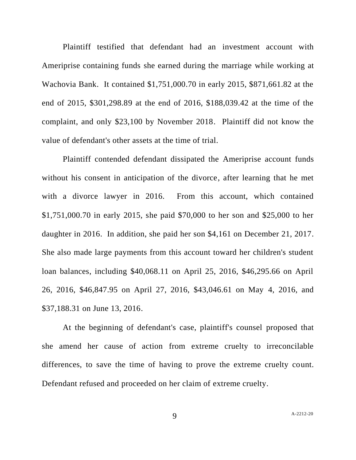Plaintiff testified that defendant had an investment account with Ameriprise containing funds she earned during the marriage while working at Wachovia Bank. It contained \$1,751,000.70 in early 2015, \$871,661.82 at the end of 2015, \$301,298.89 at the end of 2016, \$188,039.42 at the time of the complaint, and only \$23,100 by November 2018. Plaintiff did not know the value of defendant's other assets at the time of trial.

Plaintiff contended defendant dissipated the Ameriprise account funds without his consent in anticipation of the divorce, after learning that he met with a divorce lawyer in 2016. From this account, which contained \$1,751,000.70 in early 2015, she paid \$70,000 to her son and \$25,000 to her daughter in 2016. In addition, she paid her son \$4,161 on December 21, 2017. She also made large payments from this account toward her children's student loan balances, including \$40,068.11 on April 25, 2016, \$46,295.66 on April 26, 2016, \$46,847.95 on April 27, 2016, \$43,046.61 on May 4, 2016, and \$37,188.31 on June 13, 2016.

At the beginning of defendant's case, plaintiff's counsel proposed that she amend her cause of action from extreme cruelty to irreconcilable differences, to save the time of having to prove the extreme cruelty count. Defendant refused and proceeded on her claim of extreme cruelty.

9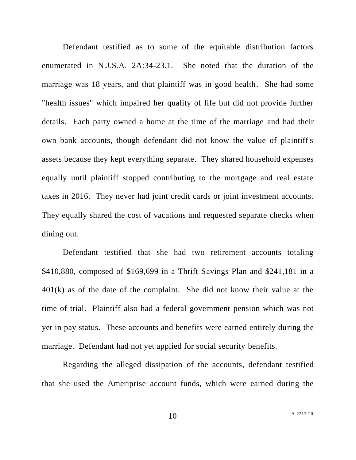Defendant testified as to some of the equitable distribution factors enumerated in N.J.S.A. 2A:34-23.1. She noted that the duration of the marriage was 18 years, and that plaintiff was in good health. She had some "health issues" which impaired her quality of life but did not provide further details. Each party owned a home at the time of the marriage and had their own bank accounts, though defendant did not know the value of plaintiff's assets because they kept everything separate. They shared household expenses equally until plaintiff stopped contributing to the mortgage and real estate taxes in 2016. They never had joint credit cards or joint investment accounts. They equally shared the cost of vacations and requested separate checks when dining out.

Defendant testified that she had two retirement accounts totaling \$410,880, composed of \$169,699 in a Thrift Savings Plan and \$241,181 in a 401(k) as of the date of the complaint. She did not know their value at the time of trial. Plaintiff also had a federal government pension which was not yet in pay status. These accounts and benefits were earned entirely during the marriage. Defendant had not yet applied for social security benefits.

Regarding the alleged dissipation of the accounts, defendant testified that she used the Ameriprise account funds, which were earned during the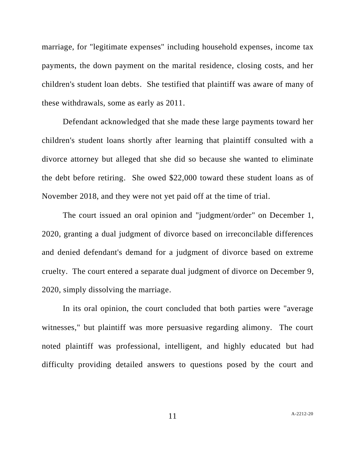marriage, for "legitimate expenses" including household expenses, income tax payments, the down payment on the marital residence, closing costs, and her children's student loan debts. She testified that plaintiff was aware of many of these withdrawals, some as early as 2011.

Defendant acknowledged that she made these large payments toward her children's student loans shortly after learning that plaintiff consulted with a divorce attorney but alleged that she did so because she wanted to eliminate the debt before retiring. She owed \$22,000 toward these student loans as of November 2018, and they were not yet paid off at the time of trial.

The court issued an oral opinion and "judgment/order" on December 1, 2020, granting a dual judgment of divorce based on irreconcilable differences and denied defendant's demand for a judgment of divorce based on extreme cruelty. The court entered a separate dual judgment of divorce on December 9, 2020, simply dissolving the marriage.

In its oral opinion, the court concluded that both parties were "average witnesses," but plaintiff was more persuasive regarding alimony. The court noted plaintiff was professional, intelligent, and highly educated but had difficulty providing detailed answers to questions posed by the court and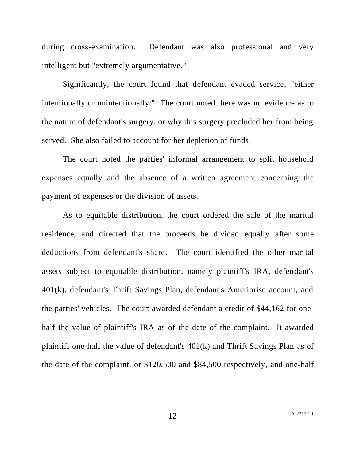during cross-examination. Defendant was also professional and very intelligent but "extremely argumentative."

Significantly, the court found that defendant evaded service, "either intentionally or unintentionally." The court noted there was no evidence as to the nature of defendant's surgery, or why this surgery precluded her from being served. She also failed to account for her depletion of funds.

The court noted the parties' informal arrangement to split household expenses equally and the absence of a written agreement concerning the payment of expenses or the division of assets.

As to equitable distribution, the court ordered the sale of the marital residence, and directed that the proceeds be divided equally after some deductions from defendant's share. The court identified the other marital assets subject to equitable distribution, namely plaintiff's IRA, defendant's 401(k), defendant's Thrift Savings Plan, defendant's Ameriprise account, and the parties' vehicles. The court awarded defendant a credit of \$44,162 for onehalf the value of plaintiff's IRA as of the date of the complaint. It awarded plaintiff one-half the value of defendant's 401(k) and Thrift Savings Plan as of the date of the complaint, or \$120,500 and \$84,500 respectively, and one-half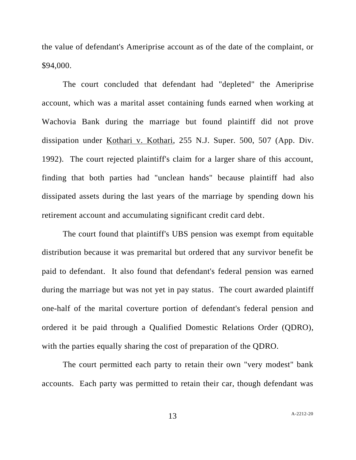the value of defendant's Ameriprise account as of the date of the complaint, or \$94,000.

The court concluded that defendant had "depleted" the Ameriprise account, which was a marital asset containing funds earned when working at Wachovia Bank during the marriage but found plaintiff did not prove dissipation under Kothari v. Kothari, 255 N.J. Super. 500, 507 (App. Div. 1992). The court rejected plaintiff's claim for a larger share of this account, finding that both parties had "unclean hands" because plaintiff had also dissipated assets during the last years of the marriage by spending down his retirement account and accumulating significant credit card debt.

The court found that plaintiff's UBS pension was exempt from equitable distribution because it was premarital but ordered that any survivor benefit be paid to defendant. It also found that defendant's federal pension was earned during the marriage but was not yet in pay status. The court awarded plaintiff one-half of the marital coverture portion of defendant's federal pension and ordered it be paid through a Qualified Domestic Relations Order (QDRO), with the parties equally sharing the cost of preparation of the QDRO.

The court permitted each party to retain their own "very modest" bank accounts. Each party was permitted to retain their car, though defendant was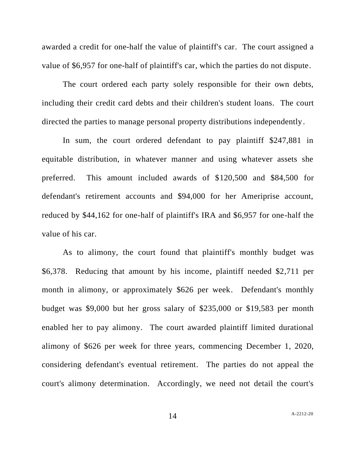awarded a credit for one-half the value of plaintiff's car. The court assigned a value of \$6,957 for one-half of plaintiff's car, which the parties do not dispute.

The court ordered each party solely responsible for their own debts, including their credit card debts and their children's student loans. The court directed the parties to manage personal property distributions independently.

In sum, the court ordered defendant to pay plaintiff \$247,881 in equitable distribution, in whatever manner and using whatever assets she preferred. This amount included awards of \$120,500 and \$84,500 for defendant's retirement accounts and \$94,000 for her Ameriprise account, reduced by \$44,162 for one-half of plaintiff's IRA and \$6,957 for one-half the value of his car.

As to alimony, the court found that plaintiff's monthly budget was \$6,378. Reducing that amount by his income, plaintiff needed \$2,711 per month in alimony, or approximately \$626 per week. Defendant's monthly budget was \$9,000 but her gross salary of \$235,000 or \$19,583 per month enabled her to pay alimony. The court awarded plaintiff limited durational alimony of \$626 per week for three years, commencing December 1, 2020, considering defendant's eventual retirement. The parties do not appeal the court's alimony determination. Accordingly, we need not detail the court's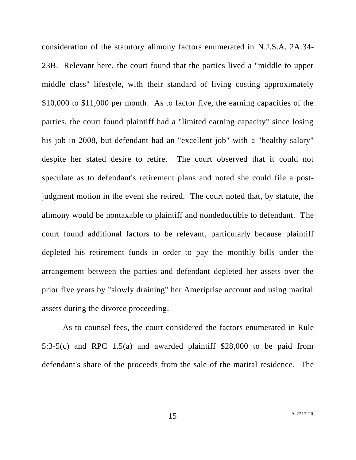consideration of the statutory alimony factors enumerated in N.J.S.A. 2A:34- 23B. Relevant here, the court found that the parties lived a "middle to upper middle class" lifestyle, with their standard of living costing approximately \$10,000 to \$11,000 per month. As to factor five, the earning capacities of the parties, the court found plaintiff had a "limited earning capacity" since losing his job in 2008, but defendant had an "excellent job" with a "healthy salary" despite her stated desire to retire. The court observed that it could not speculate as to defendant's retirement plans and noted she could file a postjudgment motion in the event she retired. The court noted that, by statute, the alimony would be nontaxable to plaintiff and nondeductible to defendant. The court found additional factors to be relevant, particularly because plaintiff depleted his retirement funds in order to pay the monthly bills under the arrangement between the parties and defendant depleted her assets over the prior five years by "slowly draining" her Ameriprise account and using marital assets during the divorce proceeding.

As to counsel fees, the court considered the factors enumerated in Rule 5:3-5(c) and RPC 1.5(a) and awarded plaintiff \$28,000 to be paid from defendant's share of the proceeds from the sale of the marital residence. The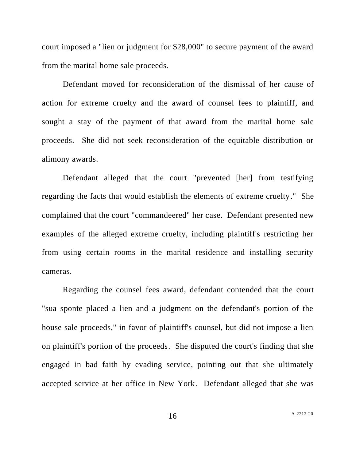court imposed a "lien or judgment for \$28,000" to secure payment of the award from the marital home sale proceeds.

Defendant moved for reconsideration of the dismissal of her cause of action for extreme cruelty and the award of counsel fees to plaintiff, and sought a stay of the payment of that award from the marital home sale proceeds. She did not seek reconsideration of the equitable distribution or alimony awards.

Defendant alleged that the court "prevented [her] from testifying regarding the facts that would establish the elements of extreme cruelty." She complained that the court "commandeered" her case. Defendant presented new examples of the alleged extreme cruelty, including plaintiff's restricting her from using certain rooms in the marital residence and installing security cameras.

Regarding the counsel fees award, defendant contended that the court "sua sponte placed a lien and a judgment on the defendant's portion of the house sale proceeds," in favor of plaintiff's counsel, but did not impose a lien on plaintiff's portion of the proceeds. She disputed the court's finding that she engaged in bad faith by evading service, pointing out that she ultimately accepted service at her office in New York. Defendant alleged that she was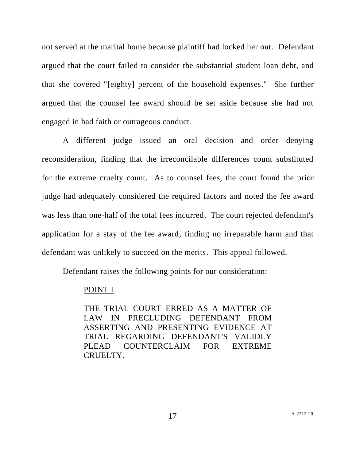not served at the marital home because plaintiff had locked her out. Defendant argued that the court failed to consider the substantial student loan debt, and that she covered "[eighty] percent of the household expenses." She further argued that the counsel fee award should be set aside because she had not engaged in bad faith or outrageous conduct.

A different judge issued an oral decision and order denying reconsideration, finding that the irreconcilable differences count substituted for the extreme cruelty count. As to counsel fees, the court found the prior judge had adequately considered the required factors and noted the fee award was less than one-half of the total fees incurred. The court rejected defendant's application for a stay of the fee award, finding no irreparable harm and that defendant was unlikely to succeed on the merits. This appeal followed.

Defendant raises the following points for our consideration:

## POINT I

THE TRIAL COURT ERRED AS A MATTER OF LAW IN PRECLUDING DEFENDANT FROM ASSERTING AND PRESENTING EVIDENCE AT TRIAL REGARDING DEFENDANT'S VALIDLY PLEAD COUNTERCLAIM FOR EXTREME CRUELTY.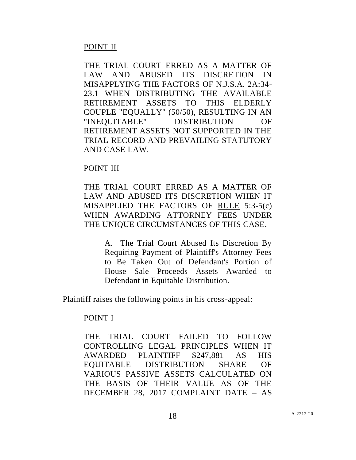# POINT II

THE TRIAL COURT ERRED AS A MATTER OF LAW AND ABUSED ITS DISCRETION IN MISAPPLYING THE FACTORS OF N.J.S.A. 2A:34- 23.1 WHEN DISTRIBUTING THE AVAILABLE RETIREMENT ASSETS TO THIS ELDERLY COUPLE "EQUALLY" (50/50), RESULTING IN AN "INEQUITABLE" DISTRIBUTION OF RETIREMENT ASSETS NOT SUPPORTED IN THE TRIAL RECORD AND PREVAILING STATUTORY AND CASE LAW.

## POINT III

THE TRIAL COURT ERRED AS A MATTER OF LAW AND ABUSED ITS DISCRETION WHEN IT MISAPPLIED THE FACTORS OF RULE 5:3-5(c) WHEN AWARDING ATTORNEY FEES UNDER THE UNIQUE CIRCUMSTANCES OF THIS CASE.

> A. The Trial Court Abused Its Discretion By Requiring Payment of Plaintiff's Attorney Fees to Be Taken Out of Defendant's Portion of House Sale Proceeds Assets Awarded to Defendant in Equitable Distribution.

Plaintiff raises the following points in his cross-appeal:

## POINT I

THE TRIAL COURT FAILED TO FOLLOW CONTROLLING LEGAL PRINCIPLES WHEN IT AWARDED PLAINTIFF \$247,881 AS HIS EQUITABLE DISTRIBUTION SHARE OF VARIOUS PASSIVE ASSETS CALCULATED ON THE BASIS OF THEIR VALUE AS OF THE DECEMBER 28, 2017 COMPLAINT DATE – AS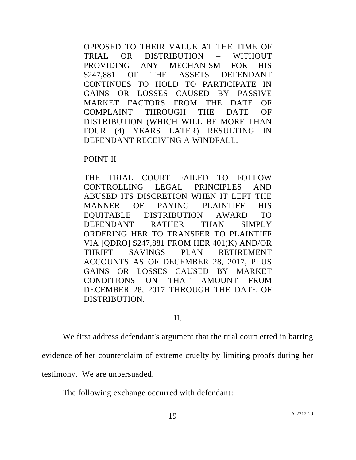OPPOSED TO THEIR VALUE AT THE TIME OF TRIAL OR DISTRIBUTION – WITHOUT PROVIDING ANY MECHANISM FOR HIS \$247,881 OF THE ASSETS DEFENDANT CONTINUES TO HOLD TO PARTICIPATE IN GAINS OR LOSSES CAUSED BY PASSIVE MARKET FACTORS FROM THE DATE OF COMPLAINT THROUGH THE DATE OF DISTRIBUTION (WHICH WILL BE MORE THAN FOUR (4) YEARS LATER) RESULTING IN DEFENDANT RECEIVING A WINDFALL.

#### POINT II

THE TRIAL COURT FAILED TO FOLLOW CONTROLLING LEGAL PRINCIPLES AND ABUSED ITS DISCRETION WHEN IT LEFT THE MANNER OF PAYING PLAINTIFF HIS EQUITABLE DISTRIBUTION AWARD TO DEFENDANT RATHER THAN SIMPLY ORDERING HER TO TRANSFER TO PLAINTIFF VIA [QDRO] \$247,881 FROM HER 401(K) AND/OR THRIFT SAVINGS PLAN RETIREMENT ACCOUNTS AS OF DECEMBER 28, 2017, PLUS GAINS OR LOSSES CAUSED BY MARKET CONDITIONS ON THAT AMOUNT FROM DECEMBER 28, 2017 THROUGH THE DATE OF DISTRIBUTION.

## II.

We first address defendant's argument that the trial court erred in barring

evidence of her counterclaim of extreme cruelty by limiting proofs during her

testimony. We are unpersuaded.

The following exchange occurred with defendant: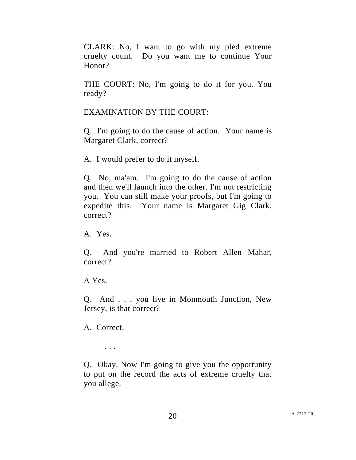CLARK: No, I want to go with my pled extreme cruelty count. Do you want me to continue Your Honor?

THE COURT: No, I'm going to do it for you. You ready?

EXAMINATION BY THE COURT:

Q. I'm going to do the cause of action. Your name is Margaret Clark, correct?

A. I would prefer to do it myself.

Q. No, ma'am. I'm going to do the cause of action and then we'll launch into the other. I'm not restricting you. You can still make your proofs, but I'm going to expedite this. Your name is Margaret Gig Clark, correct?

A. Yes.

Q. And you're married to Robert Allen Mahar, correct?

A Yes.

Q. And . . . you live in Monmouth Junction, New Jersey, is that correct?

A. Correct.

. . .

Q. Okay. Now I'm going to give you the opportunity to put on the record the acts of extreme cruelty that you allege.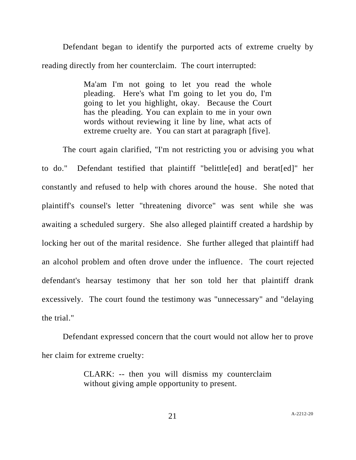Defendant began to identify the purported acts of extreme cruelty by reading directly from her counterclaim. The court interrupted:

> Ma'am I'm not going to let you read the whole pleading. Here's what I'm going to let you do, I'm going to let you highlight, okay. Because the Court has the pleading. You can explain to me in your own words without reviewing it line by line, what acts of extreme cruelty are. You can start at paragraph [five].

The court again clarified, "I'm not restricting you or advising you what to do." Defendant testified that plaintiff "belittle[ed] and berat[ed]" her constantly and refused to help with chores around the house. She noted that plaintiff's counsel's letter "threatening divorce" was sent while she was awaiting a scheduled surgery. She also alleged plaintiff created a hardship by locking her out of the marital residence. She further alleged that plaintiff had an alcohol problem and often drove under the influence. The court rejected defendant's hearsay testimony that her son told her that plaintiff drank excessively. The court found the testimony was "unnecessary" and "delaying the trial."

Defendant expressed concern that the court would not allow her to prove her claim for extreme cruelty:

> CLARK: -- then you will dismiss my counterclaim without giving ample opportunity to present.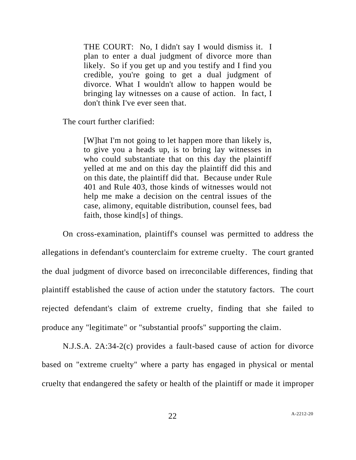THE COURT: No, I didn't say I would dismiss it. I plan to enter a dual judgment of divorce more than likely. So if you get up and you testify and I find you credible, you're going to get a dual judgment of divorce. What I wouldn't allow to happen would be bringing lay witnesses on a cause of action. In fact, I don't think I've ever seen that.

The court further clarified:

[W]hat I'm not going to let happen more than likely is, to give you a heads up, is to bring lay witnesses in who could substantiate that on this day the plaintiff yelled at me and on this day the plaintiff did this and on this date, the plaintiff did that. Because under Rule 401 and Rule 403, those kinds of witnesses would not help me make a decision on the central issues of the case, alimony, equitable distribution, counsel fees, bad faith, those kind[s] of things.

On cross-examination, plaintiff's counsel was permitted to address the allegations in defendant's counterclaim for extreme cruelty. The court granted the dual judgment of divorce based on irreconcilable differences, finding that plaintiff established the cause of action under the statutory factors. The court rejected defendant's claim of extreme cruelty, finding that she failed to produce any "legitimate" or "substantial proofs" supporting the claim.

N.J.S.A. 2A:34-2(c) provides a fault-based cause of action for divorce based on "extreme cruelty" where a party has engaged in physical or mental cruelty that endangered the safety or health of the plaintiff or made it improper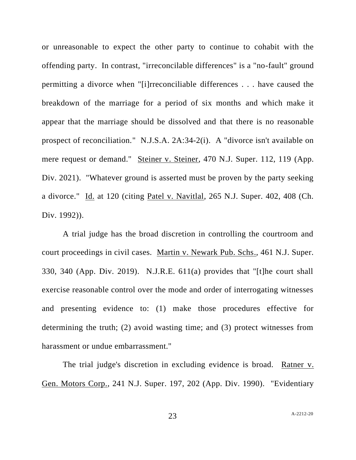or unreasonable to expect the other party to continue to cohabit with the offending party. In contrast, "irreconcilable differences" is a "no-fault" ground permitting a divorce when "[i]rreconciliable differences . . . have caused the breakdown of the marriage for a period of six months and which make it appear that the marriage should be dissolved and that there is no reasonable prospect of reconciliation." N.J.S.A. 2A:34-2(i). A "divorce isn't available on mere request or demand." Steiner v. Steiner, 470 N.J. Super. 112, 119 (App. Div. 2021). "Whatever ground is asserted must be proven by the party seeking a divorce." Id. at 120 (citing Patel v. Navitlal, 265 N.J. Super. 402, 408 (Ch. Div. 1992)).

A trial judge has the broad discretion in controlling the courtroom and court proceedings in civil cases. Martin v. Newark Pub. Schs., 461 N.J. Super. 330, 340 (App. Div. 2019). N.J.R.E. 611(a) provides that "[t]he court shall exercise reasonable control over the mode and order of interrogating witnesses and presenting evidence to: (1) make those procedures effective for determining the truth; (2) avoid wasting time; and (3) protect witnesses from harassment or undue embarrassment."

The trial judge's discretion in excluding evidence is broad. Ratner v. Gen. Motors Corp., 241 N.J. Super. 197, 202 (App. Div. 1990). "Evidentiary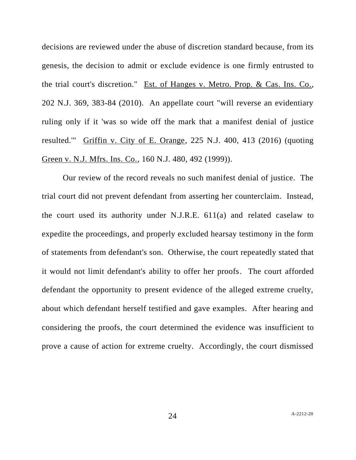decisions are reviewed under the abuse of discretion standard because, from its genesis, the decision to admit or exclude evidence is one firmly entrusted to the trial court's discretion." Est. of Hanges v. Metro. Prop. & Cas. Ins. Co., 202 N.J. 369, 383-84 (2010). An appellate court "will reverse an evidentiary ruling only if it 'was so wide off the mark that a manifest denial of justice resulted.'" Griffin v. City of E. Orange, 225 N.J. 400, 413 (2016) (quoting Green v. N.J. Mfrs. Ins. Co., 160 N.J. 480, 492 (1999)).

Our review of the record reveals no such manifest denial of justice. The trial court did not prevent defendant from asserting her counterclaim. Instead, the court used its authority under N.J.R.E. 611(a) and related caselaw to expedite the proceedings, and properly excluded hearsay testimony in the form of statements from defendant's son. Otherwise, the court repeatedly stated that it would not limit defendant's ability to offer her proofs. The court afforded defendant the opportunity to present evidence of the alleged extreme cruelty, about which defendant herself testified and gave examples. After hearing and considering the proofs, the court determined the evidence was insufficient to prove a cause of action for extreme cruelty. Accordingly, the court dismissed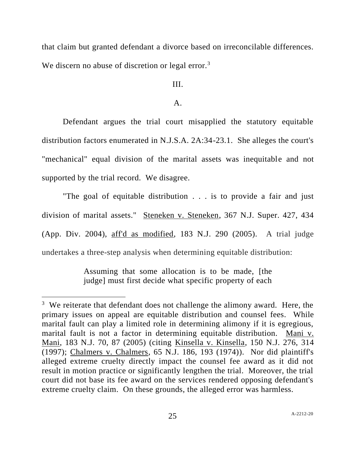that claim but granted defendant a divorce based on irreconcilable differences. We discern no abuse of discretion or legal error.<sup>3</sup>

## III.

#### $\mathbf{A}$ .

Defendant argues the trial court misapplied the statutory equitable distribution factors enumerated in N.J.S.A. 2A:34-23.1. She alleges the court's "mechanical" equal division of the marital assets was inequitable and not supported by the trial record. We disagree.

"The goal of equitable distribution . . . is to provide a fair and just division of marital assets." Steneken v. Steneken, 367 N.J. Super. 427, 434 (App. Div. 2004), aff'd as modified, 183 N.J. 290 (2005). A trial judge undertakes a three-step analysis when determining equitable distribution:

> Assuming that some allocation is to be made, [the judge] must first decide what specific property of each

 $3$  We reiterate that defendant does not challenge the alimony award. Here, the primary issues on appeal are equitable distribution and counsel fees. While marital fault can play a limited role in determining alimony if it is egregious, marital fault is not a factor in determining equitable distribution. Mani v. Mani, 183 N.J. 70, 87 (2005) (citing Kinsella v. Kinsella, 150 N.J. 276, 314 (1997); Chalmers v. Chalmers, 65 N.J. 186, 193 (1974)). Nor did plaintiff's alleged extreme cruelty directly impact the counsel fee award as it did not result in motion practice or significantly lengthen the trial. Moreover, the trial court did not base its fee award on the services rendered opposing defendant's extreme cruelty claim. On these grounds, the alleged error was harmless.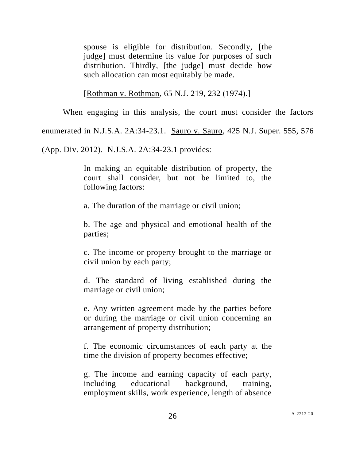spouse is eligible for distribution. Secondly, [the judge] must determine its value for purposes of such distribution. Thirdly, [the judge] must decide how such allocation can most equitably be made.

[Rothman v. Rothman, 65 N.J. 219, 232 (1974).]

When engaging in this analysis, the court must consider the factors

enumerated in N.J.S.A. 2A:34-23.1. Sauro v. Sauro, 425 N.J. Super. 555, 576

(App. Div. 2012). N.J.S.A. 2A:34-23.1 provides:

In making an equitable distribution of property, the court shall consider, but not be limited to, the following factors:

a. The duration of the marriage or civil union;

b. The age and physical and emotional health of the parties;

c. The income or property brought to the marriage or civil union by each party;

d. The standard of living established during the marriage or civil union;

e. Any written agreement made by the parties before or during the marriage or civil union concerning an arrangement of property distribution;

f. The economic circumstances of each party at the time the division of property becomes effective;

g. The income and earning capacity of each party, including educational background, training, employment skills, work experience, length of absence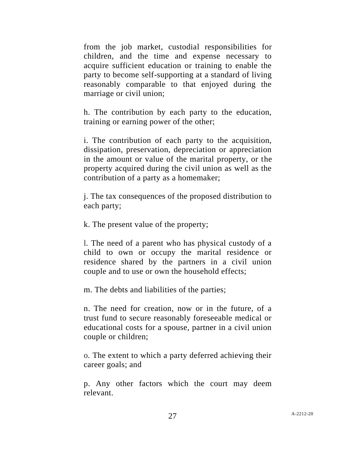from the job market, custodial responsibilities for children, and the time and expense necessary to acquire sufficient education or training to enable the party to become self-supporting at a standard of living reasonably comparable to that enjoyed during the marriage or civil union;

h. The contribution by each party to the education, training or earning power of the other;

i. The contribution of each party to the acquisition, dissipation, preservation, depreciation or appreciation in the amount or value of the marital property, or the property acquired during the civil union as well as the contribution of a party as a homemaker;

j. The tax consequences of the proposed distribution to each party;

k. The present value of the property;

l*.* The need of a parent who has physical custody of a child to own or occupy the marital residence or residence shared by the partners in a civil union couple and to use or own the household effects;

m. The debts and liabilities of the parties;

n. The need for creation, now or in the future, of a trust fund to secure reasonably foreseeable medical or educational costs for a spouse, partner in a civil union couple or children;

o*.* The extent to which a party deferred achieving their career goals; and

p. Any other factors which the court may deem relevant.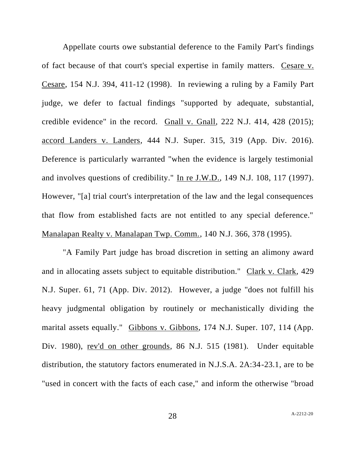Appellate courts owe substantial deference to the Family Part's findings of fact because of that court's special expertise in family matters. Cesare v. Cesare, 154 N.J. 394, 411-12 (1998). In reviewing a ruling by a Family Part judge, we defer to factual findings "supported by adequate, substantial, credible evidence" in the record. Gnall v. Gnall*,* 222 N.J. 414, 428 (2015); accord Landers v. Landers, 444 N.J. Super. 315, 319 (App. Div. 2016). Deference is particularly warranted "when the evidence is largely testimonial and involves questions of credibility." In re J.W.D., 149 N.J. 108, 117 (1997). However, "[a] trial court's interpretation of the law and the legal consequences that flow from established facts are not entitled to any special deference." Manalapan Realty v. Manalapan Twp. Comm., 140 N.J. 366, 378 (1995).

"A Family Part judge has broad discretion in setting an alimony award and in allocating assets subject to equitable distribution." Clark v. Clark, 429 N.J. Super. 61, 71 (App. Div. 2012). However, a judge "does not fulfill his heavy judgmental obligation by routinely or mechanistically dividing the marital assets equally." Gibbons v. Gibbons, 174 N.J. Super. 107, 114 (App. Div. 1980), rev'd on other grounds, 86 N.J. 515 (1981). Under equitable distribution, the statutory factors enumerated in N.J.S.A. 2A:34-23.1, are to be "used in concert with the facts of each case," and inform the otherwise "broad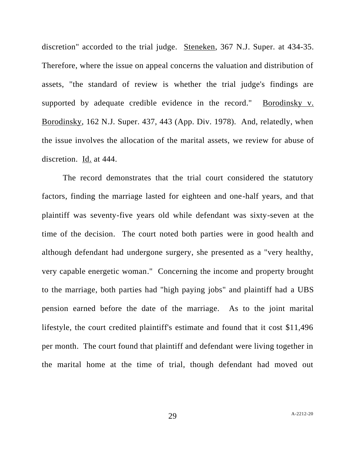discretion" accorded to the trial judge. Steneken, 367 N.J. Super. at 434-35. Therefore, where the issue on appeal concerns the valuation and distribution of assets, "the standard of review is whether the trial judge's findings are supported by adequate credible evidence in the record." Borodinsky v. Borodinsky, 162 N.J. Super. 437, 443 (App. Div. 1978). And, relatedly, when the issue involves the allocation of the marital assets, we review for abuse of discretion. Id. at 444.

The record demonstrates that the trial court considered the statutory factors, finding the marriage lasted for eighteen and one-half years, and that plaintiff was seventy-five years old while defendant was sixty-seven at the time of the decision. The court noted both parties were in good health and although defendant had undergone surgery, she presented as a "very healthy, very capable energetic woman." Concerning the income and property brought to the marriage, both parties had "high paying jobs" and plaintiff had a UBS pension earned before the date of the marriage. As to the joint marital lifestyle, the court credited plaintiff's estimate and found that it cost \$11,496 per month. The court found that plaintiff and defendant were living together in the marital home at the time of trial, though defendant had moved out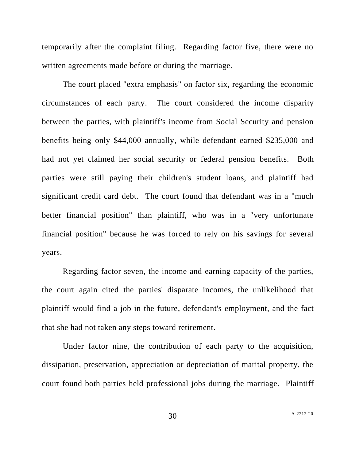temporarily after the complaint filing. Regarding factor five, there were no written agreements made before or during the marriage.

The court placed "extra emphasis" on factor six, regarding the economic circumstances of each party. The court considered the income disparity between the parties, with plaintiff's income from Social Security and pension benefits being only \$44,000 annually, while defendant earned \$235,000 and had not yet claimed her social security or federal pension benefits. Both parties were still paying their children's student loans, and plaintiff had significant credit card debt. The court found that defendant was in a "much better financial position" than plaintiff, who was in a "very unfortunate financial position" because he was forced to rely on his savings for several years.

Regarding factor seven, the income and earning capacity of the parties, the court again cited the parties' disparate incomes, the unlikelihood that plaintiff would find a job in the future, defendant's employment, and the fact that she had not taken any steps toward retirement.

Under factor nine, the contribution of each party to the acquisition, dissipation, preservation, appreciation or depreciation of marital property, the court found both parties held professional jobs during the marriage. Plaintiff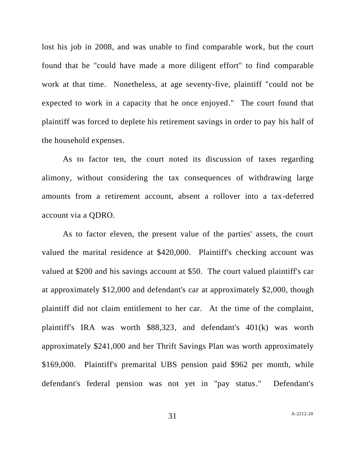lost his job in 2008, and was unable to find comparable work, but the court found that he "could have made a more diligent effort" to find comparable work at that time. Nonetheless, at age seventy-five, plaintiff "could not be expected to work in a capacity that he once enjoyed." The court found that plaintiff was forced to deplete his retirement savings in order to pay his half of the household expenses.

As to factor ten, the court noted its discussion of taxes regarding alimony, without considering the tax consequences of withdrawing large amounts from a retirement account, absent a rollover into a tax-deferred account via a QDRO.

As to factor eleven, the present value of the parties' assets, the court valued the marital residence at \$420,000. Plaintiff's checking account was valued at \$200 and his savings account at \$50. The court valued plaintiff's car at approximately \$12,000 and defendant's car at approximately \$2,000, though plaintiff did not claim entitlement to her car. At the time of the complaint, plaintiff's IRA was worth \$88,323, and defendant's 401(k) was worth approximately \$241,000 and her Thrift Savings Plan was worth approximately \$169,000. Plaintiff's premarital UBS pension paid \$962 per month, while defendant's federal pension was not yet in "pay status." Defendant's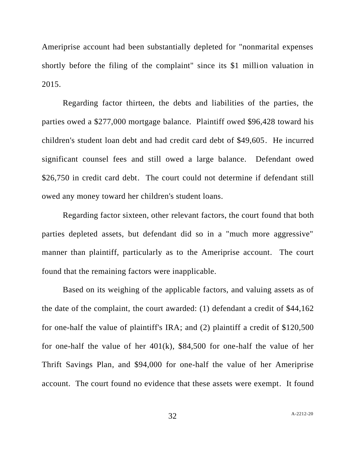Ameriprise account had been substantially depleted for "nonmarital expenses shortly before the filing of the complaint" since its \$1 million valuation in 2015.

Regarding factor thirteen, the debts and liabilities of the parties, the parties owed a \$277,000 mortgage balance. Plaintiff owed \$96,428 toward his children's student loan debt and had credit card debt of \$49,605. He incurred significant counsel fees and still owed a large balance. Defendant owed \$26,750 in credit card debt. The court could not determine if defendant still owed any money toward her children's student loans.

Regarding factor sixteen, other relevant factors, the court found that both parties depleted assets, but defendant did so in a "much more aggressive" manner than plaintiff, particularly as to the Ameriprise account. The court found that the remaining factors were inapplicable.

Based on its weighing of the applicable factors, and valuing assets as of the date of the complaint, the court awarded: (1) defendant a credit of \$44,162 for one-half the value of plaintiff's IRA; and (2) plaintiff a credit of \$120,500 for one-half the value of her  $401(k)$ , \$84,500 for one-half the value of her Thrift Savings Plan, and \$94,000 for one-half the value of her Ameriprise account. The court found no evidence that these assets were exempt. It found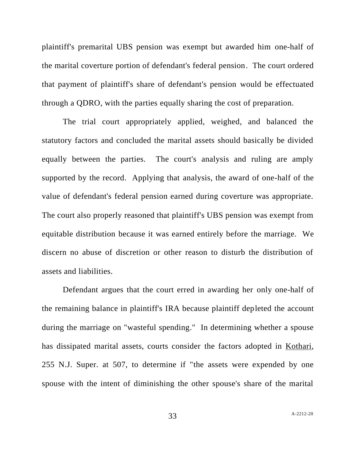plaintiff's premarital UBS pension was exempt but awarded him one-half of the marital coverture portion of defendant's federal pension. The court ordered that payment of plaintiff's share of defendant's pension would be effectuated through a QDRO, with the parties equally sharing the cost of preparation.

The trial court appropriately applied, weighed, and balanced the statutory factors and concluded the marital assets should basically be divided equally between the parties. The court's analysis and ruling are amply supported by the record. Applying that analysis, the award of one-half of the value of defendant's federal pension earned during coverture was appropriate. The court also properly reasoned that plaintiff's UBS pension was exempt from equitable distribution because it was earned entirely before the marriage. We discern no abuse of discretion or other reason to disturb the distribution of assets and liabilities.

Defendant argues that the court erred in awarding her only one-half of the remaining balance in plaintiff's IRA because plaintiff depleted the account during the marriage on "wasteful spending." In determining whether a spouse has dissipated marital assets, courts consider the factors adopted in Kothari, 255 N.J. Super. at 507, to determine if "the assets were expended by one spouse with the intent of diminishing the other spouse's share of the marital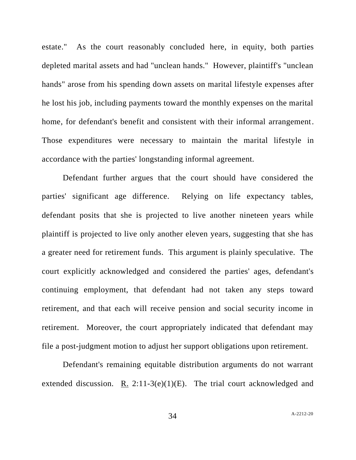estate." As the court reasonably concluded here, in equity, both parties depleted marital assets and had "unclean hands." However, plaintiff's "unclean hands" arose from his spending down assets on marital lifestyle expenses after he lost his job, including payments toward the monthly expenses on the marital home, for defendant's benefit and consistent with their informal arrangement. Those expenditures were necessary to maintain the marital lifestyle in accordance with the parties' longstanding informal agreement.

Defendant further argues that the court should have considered the parties' significant age difference. Relying on life expectancy tables, defendant posits that she is projected to live another nineteen years while plaintiff is projected to live only another eleven years, suggesting that she has a greater need for retirement funds. This argument is plainly speculative. The court explicitly acknowledged and considered the parties' ages, defendant's continuing employment, that defendant had not taken any steps toward retirement, and that each will receive pension and social security income in retirement. Moreover, the court appropriately indicated that defendant may file a post-judgment motion to adjust her support obligations upon retirement.

Defendant's remaining equitable distribution arguments do not warrant extended discussion. R.  $2:11-3(e)(1)(E)$ . The trial court acknowledged and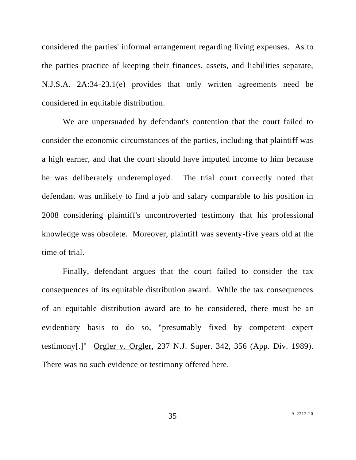considered the parties' informal arrangement regarding living expenses. As to the parties practice of keeping their finances, assets, and liabilities separate, N.J.S.A. 2A:34-23.1(e) provides that only written agreements need be considered in equitable distribution.

We are unpersuaded by defendant's contention that the court failed to consider the economic circumstances of the parties, including that plaintiff was a high earner, and that the court should have imputed income to him because he was deliberately underemployed. The trial court correctly noted that defendant was unlikely to find a job and salary comparable to his position in 2008 considering plaintiff's uncontroverted testimony that his professional knowledge was obsolete. Moreover, plaintiff was seventy-five years old at the time of trial.

Finally, defendant argues that the court failed to consider the tax consequences of its equitable distribution award. While the tax consequences of an equitable distribution award are to be considered, there must be an evidentiary basis to do so, "presumably fixed by competent expert testimony[.]" Orgler v. Orgler, 237 N.J. Super. 342, 356 (App. Div. 1989). There was no such evidence or testimony offered here.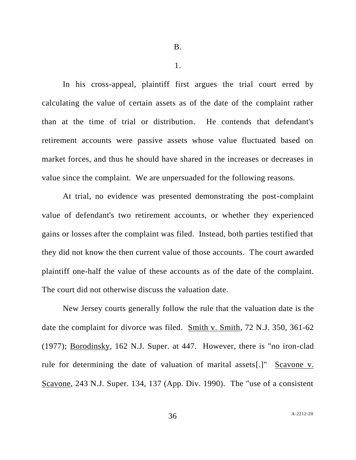1.

In his cross-appeal, plaintiff first argues the trial court erred by calculating the value of certain assets as of the date of the complaint rather than at the time of trial or distribution. He contends that defendant's retirement accounts were passive assets whose value fluctuated based on market forces, and thus he should have shared in the increases or decreases in value since the complaint. We are unpersuaded for the following reasons.

At trial, no evidence was presented demonstrating the post-complaint value of defendant's two retirement accounts, or whether they experienced gains or losses after the complaint was filed. Instead, both parties testified that they did not know the then current value of those accounts. The court awarded plaintiff one-half the value of these accounts as of the date of the complaint. The court did not otherwise discuss the valuation date.

New Jersey courts generally follow the rule that the valuation date is the date the complaint for divorce was filed. Smith v. Smith*,* 72 N.J. 350, 361-62 (1977); Borodinsky, 162 N.J. Super. at 447. However, there is "no iron-clad rule for determining the date of valuation of marital assets[.]" Scavone v. Scavone, 243 N.J. Super. 134, 137 (App. Div. 1990). The "use of a consistent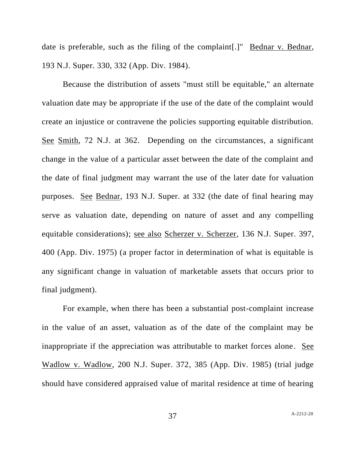date is preferable, such as the filing of the complaint.<sup>[1]</sup> Bednar v. Bednar, 193 N.J. Super. 330, 332 (App. Div. 1984).

Because the distribution of assets "must still be equitable," an alternate valuation date may be appropriate if the use of the date of the complaint would create an injustice or contravene the policies supporting equitable distribution. See Smith, 72 N.J. at 362. Depending on the circumstances, a significant change in the value of a particular asset between the date of the complaint and the date of final judgment may warrant the use of the later date for valuation purposes. See Bednar, 193 N.J. Super. at 332 (the date of final hearing may serve as valuation date, depending on nature of asset and any compelling equitable considerations); see also Scherzer v. Scherzer, 136 N.J. Super. 397, 400 (App. Div. 1975) (a proper factor in determination of what is equitable is any significant change in valuation of marketable assets that occurs prior to final judgment).

For example, when there has been a substantial post-complaint increase in the value of an asset, valuation as of the date of the complaint may be inappropriate if the appreciation was attributable to market forces alone. See Wadlow v. Wadlow, 200 N.J. Super. 372, 385 (App. Div. 1985) (trial judge should have considered appraised value of marital residence at time of hearing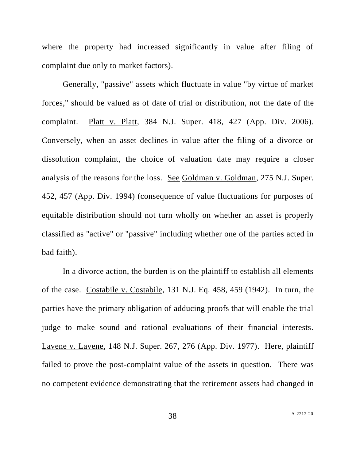where the property had increased significantly in value after filing of complaint due only to market factors).

Generally, "passive" assets which fluctuate in value "by virtue of market forces," should be valued as of date of trial or distribution, not the date of the complaint. Platt v. Platt, 384 N.J. Super. 418, 427 (App. Div. 2006). Conversely, when an asset declines in value after the filing of a divorce or dissolution complaint, the choice of valuation date may require a closer analysis of the reasons for the loss. See Goldman v. Goldman, 275 N.J. Super. 452, 457 (App. Div. 1994) (consequence of value fluctuations for purposes of equitable distribution should not turn wholly on whether an asset is properly classified as "active" or "passive" including whether one of the parties acted in bad faith).

In a divorce action, the burden is on the plaintiff to establish all elements of the case. Costabile v. Costabile, 131 N.J. Eq. 458, 459 (1942). In turn, the parties have the primary obligation of adducing proofs that will enable the trial judge to make sound and rational evaluations of their financial interests. Lavene v. Lavene, 148 N.J. Super. 267, 276 (App. Div. 1977). Here, plaintiff failed to prove the post-complaint value of the assets in question. There was no competent evidence demonstrating that the retirement assets had changed in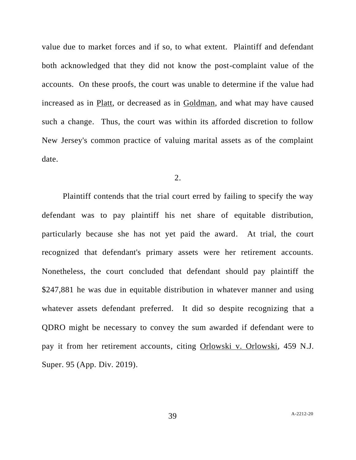value due to market forces and if so, to what extent. Plaintiff and defendant both acknowledged that they did not know the post-complaint value of the accounts. On these proofs, the court was unable to determine if the value had increased as in Platt, or decreased as in Goldman, and what may have caused such a change. Thus, the court was within its afforded discretion to follow New Jersey's common practice of valuing marital assets as of the complaint date.

2.

Plaintiff contends that the trial court erred by failing to specify the way defendant was to pay plaintiff his net share of equitable distribution, particularly because she has not yet paid the award. At trial, the court recognized that defendant's primary assets were her retirement accounts. Nonetheless, the court concluded that defendant should pay plaintiff the \$247,881 he was due in equitable distribution in whatever manner and using whatever assets defendant preferred. It did so despite recognizing that a QDRO might be necessary to convey the sum awarded if defendant were to pay it from her retirement accounts, citing Orlowski v. Orlowski, 459 N.J. Super. 95 (App. Div. 2019).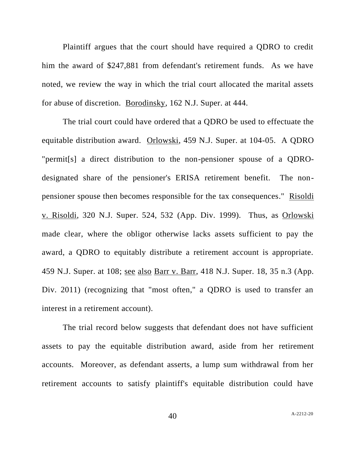Plaintiff argues that the court should have required a QDRO to credit him the award of \$247,881 from defendant's retirement funds. As we have noted, we review the way in which the trial court allocated the marital assets for abuse of discretion. Borodinsky, 162 N.J. Super. at 444.

The trial court could have ordered that a QDRO be used to effectuate the equitable distribution award. Orlowski, 459 N.J. Super. at 104-05. A QDRO "permit[s] a direct distribution to the non-pensioner spouse of a QDROdesignated share of the pensioner's ERISA retirement benefit. The nonpensioner spouse then becomes responsible for the tax consequences." Risoldi v. Risoldi, 320 N.J. Super. 524, 532 (App. Div. 1999). Thus, as **Orlowski** made clear, where the obligor otherwise lacks assets sufficient to pay the award, a QDRO to equitably distribute a retirement account is appropriate. 459 N.J. Super. at 108; see also Barr v. Barr, 418 N.J. Super. 18, 35 n.3 (App. Div. 2011) (recognizing that "most often," a QDRO is used to transfer an interest in a retirement account).

The trial record below suggests that defendant does not have sufficient assets to pay the equitable distribution award, aside from her retirement accounts. Moreover, as defendant asserts, a lump sum withdrawal from her retirement accounts to satisfy plaintiff's equitable distribution could have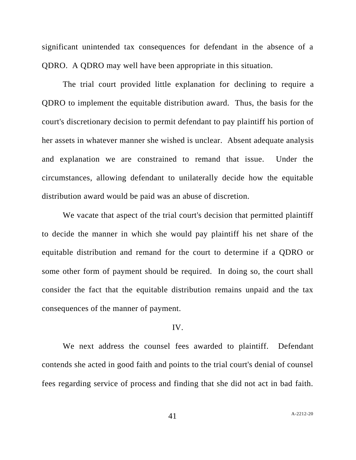significant unintended tax consequences for defendant in the absence of a QDRO. A QDRO may well have been appropriate in this situation.

The trial court provided little explanation for declining to require a QDRO to implement the equitable distribution award. Thus, the basis for the court's discretionary decision to permit defendant to pay plaintiff his portion of her assets in whatever manner she wished is unclear. Absent adequate analysis and explanation we are constrained to remand that issue. Under the circumstances, allowing defendant to unilaterally decide how the equitable distribution award would be paid was an abuse of discretion.

We vacate that aspect of the trial court's decision that permitted plaintiff to decide the manner in which she would pay plaintiff his net share of the equitable distribution and remand for the court to determine if a QDRO or some other form of payment should be required. In doing so, the court shall consider the fact that the equitable distribution remains unpaid and the tax consequences of the manner of payment.

#### IV.

We next address the counsel fees awarded to plaintiff. Defendant contends she acted in good faith and points to the trial court's denial of counsel fees regarding service of process and finding that she did not act in bad faith.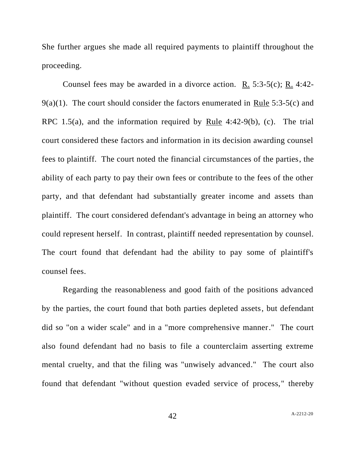She further argues she made all required payments to plaintiff throughout the proceeding.

Counsel fees may be awarded in a divorce action. R. 5:3-5(c); R. 4:42- 9(a)(1). The court should consider the factors enumerated in Rule 5:3-5(c) and RPC 1.5(a), and the information required by Rule 4:42-9(b), (c). The trial court considered these factors and information in its decision awarding counsel fees to plaintiff. The court noted the financial circumstances of the parties, the ability of each party to pay their own fees or contribute to the fees of the other party, and that defendant had substantially greater income and assets than plaintiff. The court considered defendant's advantage in being an attorney who could represent herself. In contrast, plaintiff needed representation by counsel. The court found that defendant had the ability to pay some of plaintiff's counsel fees.

Regarding the reasonableness and good faith of the positions advanced by the parties, the court found that both parties depleted assets, but defendant did so "on a wider scale" and in a "more comprehensive manner." The court also found defendant had no basis to file a counterclaim asserting extreme mental cruelty, and that the filing was "unwisely advanced." The court also found that defendant "without question evaded service of process," thereby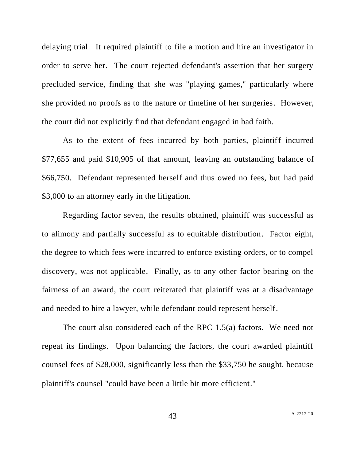delaying trial. It required plaintiff to file a motion and hire an investigator in order to serve her. The court rejected defendant's assertion that her surgery precluded service, finding that she was "playing games," particularly where she provided no proofs as to the nature or timeline of her surgeries. However, the court did not explicitly find that defendant engaged in bad faith.

As to the extent of fees incurred by both parties, plaintiff incurred \$77,655 and paid \$10,905 of that amount, leaving an outstanding balance of \$66,750. Defendant represented herself and thus owed no fees, but had paid \$3,000 to an attorney early in the litigation.

Regarding factor seven, the results obtained, plaintiff was successful as to alimony and partially successful as to equitable distribution. Factor eight, the degree to which fees were incurred to enforce existing orders, or to compel discovery, was not applicable. Finally, as to any other factor bearing on the fairness of an award, the court reiterated that plaintiff was at a disadvantage and needed to hire a lawyer, while defendant could represent herself.

The court also considered each of the RPC 1.5(a) factors. We need not repeat its findings. Upon balancing the factors, the court awarded plaintiff counsel fees of \$28,000, significantly less than the \$33,750 he sought, because plaintiff's counsel "could have been a little bit more efficient."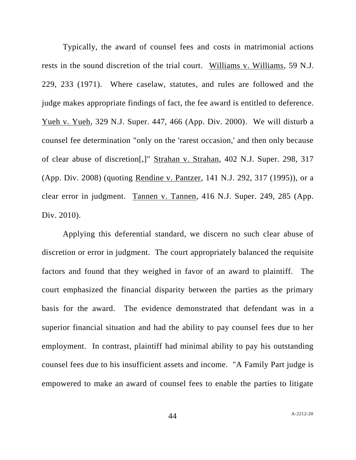Typically, the award of counsel fees and costs in matrimonial actions rests in the sound discretion of the trial court. Williams v. Williams, 59 N.J. 229, 233 (1971). Where caselaw, statutes, and rules are followed and the judge makes appropriate findings of fact, the fee award is entitled to deference. Yueh v. Yueh, 329 N.J. Super. 447, 466 (App. Div. 2000). We will disturb a counsel fee determination "only on the 'rarest occasion,' and then only because of clear abuse of discretion[,]" Strahan v. Strahan, 402 N.J. Super. 298, 317 (App. Div. 2008) (quoting Rendine v. Pantzer, 141 N.J. 292, 317 (1995)), or a clear error in judgment. Tannen v. Tannen, 416 N.J. Super. 249, 285 (App. Div. 2010).

Applying this deferential standard, we discern no such clear abuse of discretion or error in judgment. The court appropriately balanced the requisite factors and found that they weighed in favor of an award to plaintiff. The court emphasized the financial disparity between the parties as the primary basis for the award. The evidence demonstrated that defendant was in a superior financial situation and had the ability to pay counsel fees due to her employment. In contrast, plaintiff had minimal ability to pay his outstanding counsel fees due to his insufficient assets and income. "A Family Part judge is empowered to make an award of counsel fees to enable the parties to litigate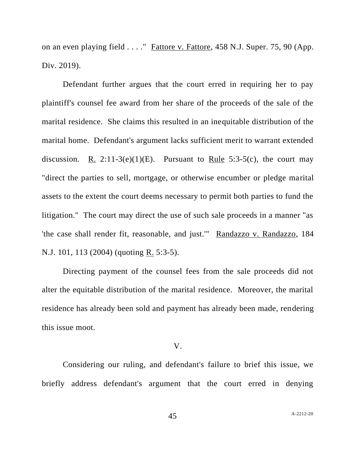on an even playing field . . . . " Fattore v. Fattore, 458 N.J. Super. 75, 90 (App. Div. 2019).

Defendant further argues that the court erred in requiring her to pay plaintiff's counsel fee award from her share of the proceeds of the sale of the marital residence. She claims this resulted in an inequitable distribution of the marital home. Defendant's argument lacks sufficient merit to warrant extended discussion. <u>R.</u> 2:11-3(e)(1)(E). Pursuant to <u>Rule</u> 5:3-5(c), the court may "direct the parties to sell, mortgage, or otherwise encumber or pledge marital assets to the extent the court deems necessary to permit both parties to fund the litigation." The court may direct the use of such sale proceeds in a manner "as 'the case shall render fit, reasonable, and just.'" Randazzo v. Randazzo, 184 N.J. 101, 113 (2004) (quoting R. 5:3-5).

Directing payment of the counsel fees from the sale proceeds did not alter the equitable distribution of the marital residence. Moreover, the marital residence has already been sold and payment has already been made, rendering this issue moot.

#### V.

Considering our ruling, and defendant's failure to brief this issue, we briefly address defendant's argument that the court erred in denying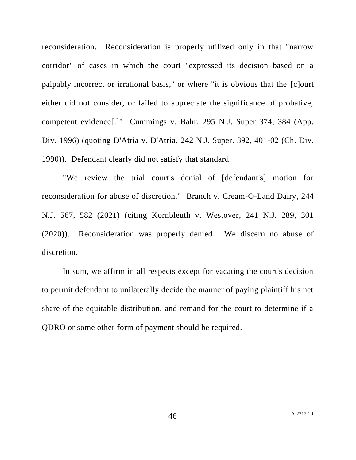reconsideration. Reconsideration is properly utilized only in that "narrow corridor" of cases in which the court "expressed its decision based on a palpably incorrect or irrational basis," or where "it is obvious that the [c]ourt either did not consider, or failed to appreciate the significance of probative, competent evidence[.]" Cummings v. Bahr, 295 N.J. Super 374, 384 (App. Div. 1996) (quoting D'Atria v. D'Atria, 242 N.J. Super. 392, 401-02 (Ch. Div. 1990)). Defendant clearly did not satisfy that standard.

"We review the trial court's denial of [defendant's] motion for reconsideration for abuse of discretion." Branch v. Cream-O-Land Dairy, 244 N.J. 567, 582 (2021) (citing Kornbleuth v. Westover, 241 N.J. 289, 301 (2020)). Reconsideration was properly denied. We discern no abuse of discretion.

In sum, we affirm in all respects except for vacating the court's decision to permit defendant to unilaterally decide the manner of paying plaintiff his net share of the equitable distribution, and remand for the court to determine if a QDRO or some other form of payment should be required.